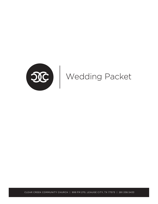

CLEAR CREEK COMMUNITY CHURCH | 999 FM 270, LEAUGE CITY, TX 77573 | 281.338.5433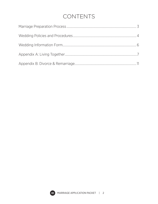# CONTENTS

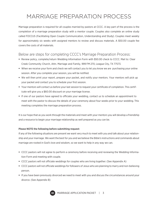# MARRIAGE PREPARATION PROCESS

Marriage preparation is required for all couples married by pastors at CCCC. A key part of the process is the completion of a marriage preparation study with a mentor couple. Couples also complete an online study called FOCCUS (Facilitating Open Couple Communication, Understanding and Study). Couples meet weekly for approximately six weeks with assigned mentors to review and discuss materials. A \$50.00 couple fee covers the costs of all materials.

# Below are steps for completing CCCC's Marriage Preparation Process:

- Review policy, complete/return Wedding Information Form with \$50.00 check to CCCC. Mail to: Clear Creek Community Church, Attn. Marriage and Family, 999 FM 270, League City, TX 77573.
- When we receive your form and check we will contact you to let you know we are purchasing your online session. After you complete your session, you will be notified.
- We will then print your report, prepare your packet, and notify your mentors. Your mentors will pick up your packet and contact you to schedule your first session.
- Your mentors will contact us before your last session to request your certificate of completion. This certificate will give you a \$60.00 discount on your marriage license.
- If one of our pastors have agreed to officiate your wedding, contact us to schedule an appointment to meet with the pastor to discuss the details of your ceremony about four weeks prior to your wedding. This meeting completes the marriage preparation process.

It is our hope that as you work through the materials and meet with your mentors you will develop a friendship and a resource to begin your marriage relationship as well prepared as you can be.

#### Please NOTE the following before submitting request:

If any of the following situations are present we want very much to meet with you and talk about your relationship and your marriage. We want the best for you and we believe the Bible's instructions and commands about marriage are rooted in God's love and wisdom, so we want to help in any way we can.

- CCCC pastors will not agree to perform a ceremony before receiving and reviewing the Wedding Information Form and meeting with couple.
- CCCC pastors will not officiate weddings for couples who are living together. (See Appendix A)
- CCCC pastors will not officiate weddings for followers of Jesus who are planning to marry and non-believing person.
- If you have been previously divorced we need to meet with you and discuss the circumstances around your divorce. (See Appendix B)

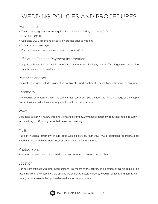# WEDDING POLICIES AND PROCEDURES

## Agreements

- The following agreements are required for couples married by pastors at CCCC:
- **Complete FOCCUS.**
- Complete CCCC's marriage preparation process prior to wedding.
- **Live apart until marriage.**
- **Plan and prepare a wedding ceremony that honors God.**

# Officiating Fee and Payment Information

A suggested honorarium is a minimum of \$200. Please make check payable to officiating pastor and mail to Elizabeth Garcia prior to wedding.

## Pastor's Services

The pastor's services include two meetings with pastor, participation at rehearsal and officiating the ceremony.

## Ceremony

The wedding ceremony is a worship service that recognizes God's leadership in the marriage of the couple. Everything included in the ceremony should befit a worship service.

#### Vows

Officiating pastor will review wedding vows and ceremony. Any special ceremony requests should be submitted in writing to officiating pastor before second meeting.

#### Music

Music in wedding ceremony should befit worship service. Numerous music selections, appropriate for weddings, are available through local Christian books and music stores.

#### Photography

Photos and videos should be done with the least amount of distractions possible.

#### Location

Our pastors officiate we dding ce remonies for me mbers of the church. The location of the we dding is the responsibility of the couple. Viable options are churches, hotels, gardens, wedding chapels, and homes. Officiating pastors reserve the right to deem a location inappropriate.

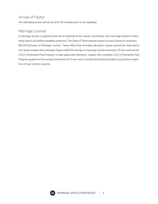# Arrival of Pastor

The officiating pastor will arrive 20 to 30 minutes prior to the wedding.

## Marriage License

A marriage license is required and can be attained at the county courthouse. Give marriage license to officiating pastor just before wedding ceremony. The State of Texas requires pastor to have license at ceremony. \$60.00 Discount on Marriage License - Texas offers free marriage education classes around the state and in turn gives couples who complete classes a \$60.00 savings on marriage license and waves 72 hour wait period. CCCC's Premarital Prep Program is state approved; therefore, couples who complete CCCC's Premarital Prep Program qualify for this savings and waiver of 72 hour wait. A certificate will be provided to you at the completion of your mentor sessions.

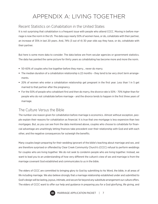# APPENDIX A: LIVING TOGETHER

# Recent Statistics on Cohabitation in the United States

It is not surprising that cohabitation is a frequent issue with people who attend CCCC. Moving in before marriage is now the norm in the US. The data says nearly 50% of women have, or do, cohabitate with their partner, an increase of 35% in last 20 years. And, 74% (3 out of 4) 30 year olds say they have, or do, cohabitate with their partner.

But here is some more data to consider. The data below are from secular agencies or government statistics. The data has painted the same picture for thirty years as cohabitating has become more and more the norm.

- 50-60% of couples who live together before they marry… never do marry.
- The median duration of a cohabitation relationship is 22 months they tend to be very short term arrangements.
- 20% of women who enter a cohabitation relationship get pregnant in the first year. Less than 1 in 5 get married to that partner after the pregnancy.
- For the 50% of people who cohabitant first and then do marry, the divorce rate is 50% 70% higher than for people who do not cohabitate before marriage - and the divorce tends to happen in the first three years of marriage.

## The Culture Versus the Bible

The number one reason given for cohabitation before marriage is economics. Almost without exception, people explain their reasons for cohabitation as financial. It is true that one mortgage is less expensive than two mortgages. But, as you can see from the data mentioned above, couples who choose to cohabitate for financial advantage are unwittingly letting finances take precedent over their relationship with God and with each other, and the negative consequences far outweigh the benefits.

Many couples begin preparing for their wedding ignorant of the bible's teaching about marriage and sex, and are therefore surprised or offended by Clear Creek Community Church's (CCCC) refusal to perform weddings for couples who are living together. We do not seek to condemn people who are living together. Instead, we want to lead you to an understanding of how very different the culture's view of sex and marriage is from the marriage covenant God established and communicates to us in the bible.

The elders of CCCC are committed to bringing glory to God by submitting to his Word, the bible, in all areas of life including marriage. We also believe strongly that a marriage relationship established under and submitted to God's design will be lasting, joyous, intimate, and secure far beyond any substitute arrangement our culture offers. The elders of CCCC want to offer our help and guidance in preparing you for a God glorifying, life giving, and

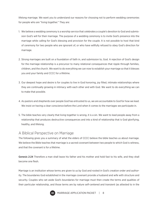lifelong marriage. We want you to understand our reasons for choosing not to perform wedding ceremonies for people who are "living together." They are:

- 1. We believe a wedding ceremony is a worship service that celebrates a couple's devotion to God and submission God's will for their marriage. The purpose of a wedding ceremony is to invite God's presence into the marriage while calling for God's blessing and provision for the couple. It is not possible to host that kind of ceremony for two people who are ignorant of, or who have willfully refused to obey God's direction for marriage.
- 2. Strong marriages are built on a foundation of faith in, and submission to, God. A rejection of God's design for the marriage relationship is a precursor to many relational consequences that ripple through families, children, and the church. We want to do everything we can now to establish your marriage so that it blesses you and your family and CCCC for a lifetime.
- 3. Our deepest hope and desire is for couples to live in God honoring, joy filled, intimate relationships where they are continually growing in intimacy with each other and with God. We want to do everything we can to make that possible.
- 4. As pastors and shepherds over people God has entrusted to us, we are accountable to God for how we lead. We insist on having a clear conscience before the Lord when it comes to the marriages we participate in.
- 5. The bible teaches very clearly that living together is wrong, it is a sin. We want to lead people away from a relationship that produces destructive consequences and into a kind of relationship that is God glorifying, healthy, and lifelong.

#### A Biblical Perspective on Marriage

The following gives you a summary of what the elders of CCCC believe the bible teaches us about marriage. We believe the Bible teaches that marriage is a sacred covenant between two people to which God is witness, and that the covenant is for a lifetime.

Genesis 2:24 Therefore a man shall leave his father and his mother and hold fast to his wife, and they shall become one flesh.

Marriage is an institution whose terms are given to us by God and rooted in God's creation order and authority. The boundaries God established in the marriage covenant provide a husband and wife with structure and security. Couples who set aside God's boundaries for marriage must then create the terms and qualities of their particular relationship, and those terms are by nature self-centered and transient (as attested to in the

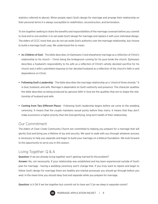statistics referred to above). When people reject God's design for marriage and arrange their relationship on their personal terms it is always susceptible to redefinition, reconstruction, and termination.

To live together seeking to share the benefits and responsibilities of the marriage covenant before you commit to God and to one another is to set aside God's design for marriage and replace it with your individual design. The elders of CCCC insist that you do not set aside God's authority over the marriage relationship, but choose to build a marriage God's way. We understand this to mean:

- **As Children of God** The bible describes (in Ephesians 5 and elsewhere) marriage as a reflection of Christ's relationship to his church – Christ being the bridegroom coming for his pure bride the church. Ephesians describes a husband's responsibility to his wife as a reflection of Christ's wholly devoted sacrifice for his church and a wife's submitted response to her devoted husband as a reflection of the church's faith in and dependence on Christ.
- Following God's Leadership The bible describes the marriage relationship as a "chord of three strands." It is God, husband, and wife. Marriage is dependent on God's authority and presence. The character qualities the bible describes as being produced by genuine faith in God are the qualities that are to shape the relationship of husband and wife.
- **Coming from Two Different Places** Following God's leadership begins before we come to the wedding ceremony. It means that the couple maintains sexual purity before they marry. It means that they don't make economics a higher priority than the God glorifying, long term health of their relationship.

## Our Commitment

The elders of Clear Creek Community Church are committed to helping you prepare for a marriage that will glorify God and bring you a lifetime of joy and security. We want to walk with you through whatever process is necessary to help you separate and begin to build your marriage on a biblical foundation. We look forward to the opportunity to serve you in this season.

# Living Together: Q & A

Question: If we are already living together won't getting married fix the problem?

Answer: No, not necessarily. If your relationship was established and has been experienced outside of God's plan for marriage - having a wedding ceremony won't change that. If you truly want to repent and begin to follow God's design for marriage there are healthy pre-marital processes you should go through before you wed. In the mean time you should obey God and separate while you prepare for marriage.

Question: Is it OK if we live together but commit not to have sex? Can we sleep in separate rooms?

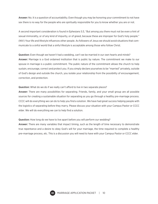Answer: No. It is a question of accountability. Even though you may be honoring your commitment to not have sex there is no way for the people who are spiritually responsible for you to know whether you are or not.

A second important consideration is found in Ephesians 5:3, "But among you there must not be even a hint of sexual immorality, or of any kind of impurity, or of greed, because these are improper for God's holy people." (NIV) Your life and lifestyle influences other people. As followers of Jesus we should avoid situations that communicate to a sinful world that a sinful lifestyle is acceptable among those who follow Christ.

Question: Even though we haven't had a wedding, can't we be married in our own hearts and minds? Answer: Marriage is a God ordained institution that is public by nature. The commitment we make to our spouse in marriage is a public commitment. The public nature of the commitment allows the church to help sustain, encourage, correct and protect you. If you simply declare yourselves to be "married" privately, outside of God's design and outside the church, you isolate your relationship from the possibility of encouragement, correction, and protection.

Question: What do we do if we really can't afford to live in two separate places?

Answer: There are many possibilities for separating. Friends, family, and your small group are all possible sources for creating a sustainable situation for separating as you go through a healthy pre-marriage process. CCCC will do everything we can do to help you find a solution. We have had great success helping people with the logistics of separating before they marry. Please discuss your situation with your Campus Pastor or CCCC elder. We will do everything we can to help find a solution.

Question: How long do we have to live apart before you will perform our wedding?

Answer: There are many variables that impact timing, such as the length of time necessary to demonstrate true repentance and a desire to obey God's will for your marriage, the time required to complete a healthy pre-marriage process, etc. This is a discussion you will need to have with your Campus Pastor or CCCC elder.